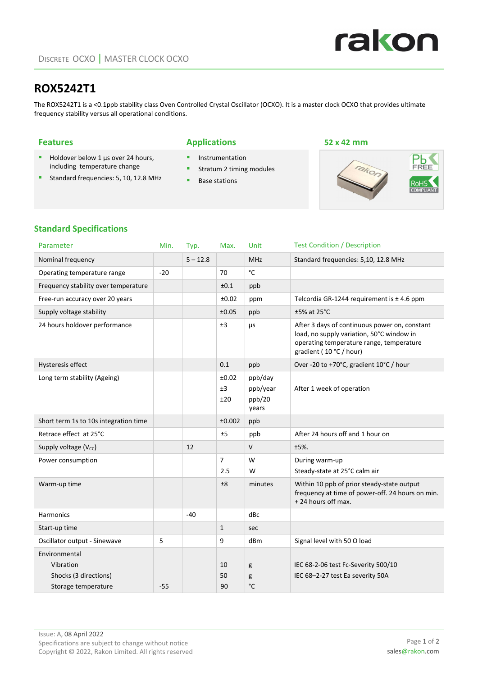

# **ROX5242T1**

The ROX5242T1 is a <0.1ppb stability class Oven Controlled Crystal Oscillator (OCXO). It is a master clock OCXO that provides ultimate frequency stability versus all operational conditions.

### **Features Applications 52 x 42 mm**

- **Instrumentation**
- **Stratum 2 timing modules**
- $\blacksquare$  Base stations



## **Standard Specifications**

 $\blacksquare$  Holdover below 1  $\mu$ s over 24 hours, including temperature change Standard frequencies: 5, 10, 12.8 MHz

| Parameter                             | Min.  | Typ.       | Max.                  | Unit                                   | <b>Test Condition / Description</b>                                                                                                                               |
|---------------------------------------|-------|------------|-----------------------|----------------------------------------|-------------------------------------------------------------------------------------------------------------------------------------------------------------------|
| Nominal frequency                     |       | $5 - 12.8$ |                       | <b>MHz</b>                             | Standard frequencies: 5,10, 12.8 MHz                                                                                                                              |
| Operating temperature range           | $-20$ |            | 70                    | $^{\circ}$ C                           |                                                                                                                                                                   |
| Frequency stability over temperature  |       |            | ±0.1                  | ppb                                    |                                                                                                                                                                   |
| Free-run accuracy over 20 years       |       |            | ±0.02                 | ppm                                    | Telcordia GR-1244 requirement is $\pm$ 4.6 ppm                                                                                                                    |
| Supply voltage stability              |       |            | ±0.05                 | ppb                                    | $±5\%$ at 25 $°C$                                                                                                                                                 |
| 24 hours holdover performance         |       |            | ±3                    | μs                                     | After 3 days of continuous power on, constant<br>load, no supply variation, 50°C window in<br>operating temperature range, temperature<br>gradient (10 °C / hour) |
| Hysteresis effect                     |       |            | 0.1                   | ppb                                    | Over -20 to +70°C, gradient 10°C / hour                                                                                                                           |
| Long term stability (Ageing)          |       |            | ±0.02<br>±3<br>±20    | ppb/day<br>ppb/year<br>ppb/20<br>years | After 1 week of operation                                                                                                                                         |
| Short term 1s to 10s integration time |       |            | ±0.002                | ppb                                    |                                                                                                                                                                   |
| Retrace effect at 25°C                |       |            | ±5                    | ppb                                    | After 24 hours off and 1 hour on                                                                                                                                  |
| Supply voltage (Vcc)                  |       | 12         |                       | $\vee$                                 | $±5%$ .                                                                                                                                                           |
| Power consumption                     |       |            | $\overline{7}$<br>2.5 | W<br>W                                 | During warm-up<br>Steady-state at 25°C calm air                                                                                                                   |
| Warm-up time                          |       |            | ±8                    | minutes                                | Within 10 ppb of prior steady-state output<br>frequency at time of power-off. 24 hours on min.<br>+24 hours off max.                                              |
| <b>Harmonics</b>                      |       | $-40$      |                       | dBc                                    |                                                                                                                                                                   |
| Start-up time                         |       |            | $\mathbf{1}$          | sec                                    |                                                                                                                                                                   |
| Oscillator output - Sinewave          | 5     |            | 9                     | dBm                                    | Signal level with 50 $\Omega$ load                                                                                                                                |
| Environmental                         |       |            |                       |                                        |                                                                                                                                                                   |
| Vibration                             |       |            | 10                    | g                                      | IEC 68-2-06 test Fc-Severity 500/10                                                                                                                               |
| Shocks (3 directions)                 |       |            | 50                    | g<br>$^{\circ}$ C                      | IEC 68-2-27 test Ea severity 50A                                                                                                                                  |
| Storage temperature                   | $-55$ |            | 90                    |                                        |                                                                                                                                                                   |